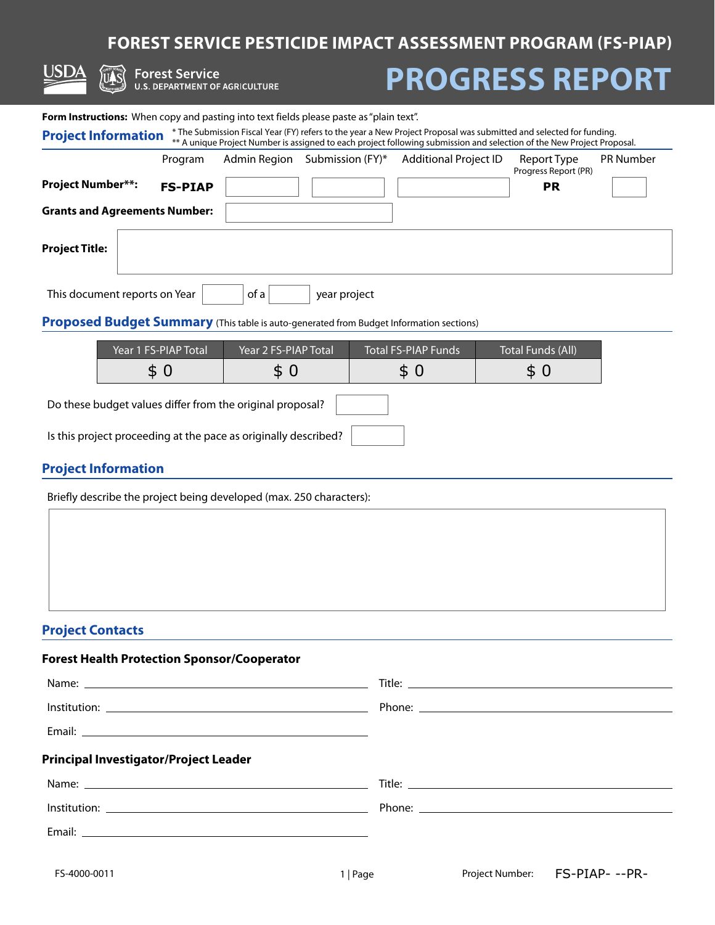# **FOREST SERVICE PESTICIDE IMPACT ASSESSMENT PROGRAM (FS-PIAP)**

|                                                                                                                          | <b>Forest Service</b><br>U.S. DEPARTMENT OF AGRICULTURE |                      |                               | <b>PROGRESS REPORT</b>                                                                                                                                                                                                                        |                                     |                  |
|--------------------------------------------------------------------------------------------------------------------------|---------------------------------------------------------|----------------------|-------------------------------|-----------------------------------------------------------------------------------------------------------------------------------------------------------------------------------------------------------------------------------------------|-------------------------------------|------------------|
| <b>Form Instructions:</b> When copy and pasting into text fields please paste as "plain text".                           |                                                         |                      |                               |                                                                                                                                                                                                                                               |                                     |                  |
| <b>Project Information</b>                                                                                               |                                                         |                      |                               | * The Submission Fiscal Year (FY) refers to the year a New Project Proposal was submitted and selected for funding.<br>** A unique Project Number is assigned to each project following submission and selection of the New Project Proposal. |                                     |                  |
|                                                                                                                          | Program                                                 |                      | Admin Region Submission (FY)* | <b>Additional Project ID</b>                                                                                                                                                                                                                  | Report Type<br>Progress Report (PR) | <b>PR Number</b> |
| <b>Project Number**:</b>                                                                                                 | <b>FS-PIAP</b>                                          |                      |                               |                                                                                                                                                                                                                                               | <b>PR</b>                           |                  |
| <b>Grants and Agreements Number:</b>                                                                                     |                                                         |                      |                               |                                                                                                                                                                                                                                               |                                     |                  |
| Project Title:                                                                                                           |                                                         |                      |                               |                                                                                                                                                                                                                                               |                                     |                  |
| This document reports on Year<br>Proposed Budget Summary (This table is auto-generated from Budget Information sections) |                                                         | of a                 | year project                  |                                                                                                                                                                                                                                               |                                     |                  |
|                                                                                                                          |                                                         |                      |                               |                                                                                                                                                                                                                                               |                                     |                  |
|                                                                                                                          | Year 1 FS-PIAP Total                                    | Year 2 FS-PIAP Total |                               | <b>Total FS-PIAP Funds</b>                                                                                                                                                                                                                    | <b>Total Funds (All)</b>            |                  |
|                                                                                                                          | \$0                                                     | \$0                  |                               | \$0                                                                                                                                                                                                                                           | \$ 0                                |                  |
| Do these budget values differ from the original proposal?                                                                |                                                         |                      |                               |                                                                                                                                                                                                                                               |                                     |                  |
| Is this project proceeding at the pace as originally described?                                                          |                                                         |                      |                               |                                                                                                                                                                                                                                               |                                     |                  |
| <b>Project Information</b>                                                                                               |                                                         |                      |                               |                                                                                                                                                                                                                                               |                                     |                  |
| Briefly describe the project being developed (max. 250 characters):                                                      |                                                         |                      |                               |                                                                                                                                                                                                                                               |                                     |                  |

### **Project Contacts**

|                         | \$0                                                                 | \$0 | \$0      | \$0                           |  |
|-------------------------|---------------------------------------------------------------------|-----|----------|-------------------------------|--|
|                         | Do these budget values differ from the original proposal?           |     |          |                               |  |
|                         | Is this project proceeding at the pace as originally described?     |     |          |                               |  |
|                         | <b>Project Information</b>                                          |     |          |                               |  |
|                         | Briefly describe the project being developed (max. 250 characters): |     |          |                               |  |
|                         |                                                                     |     |          |                               |  |
|                         |                                                                     |     |          |                               |  |
|                         |                                                                     |     |          |                               |  |
| <b>Project Contacts</b> |                                                                     |     |          |                               |  |
|                         | <b>Forest Health Protection Sponsor/Cooperator</b>                  |     |          |                               |  |
|                         |                                                                     |     |          |                               |  |
|                         |                                                                     |     |          |                               |  |
|                         |                                                                     |     |          |                               |  |
|                         | <b>Principal Investigator/Project Leader</b>                        |     |          |                               |  |
|                         |                                                                     |     |          |                               |  |
|                         |                                                                     |     |          |                               |  |
|                         |                                                                     |     |          |                               |  |
| FS-4000-0011            |                                                                     |     | 1   Page | Project Number: FS-PIAP---PR- |  |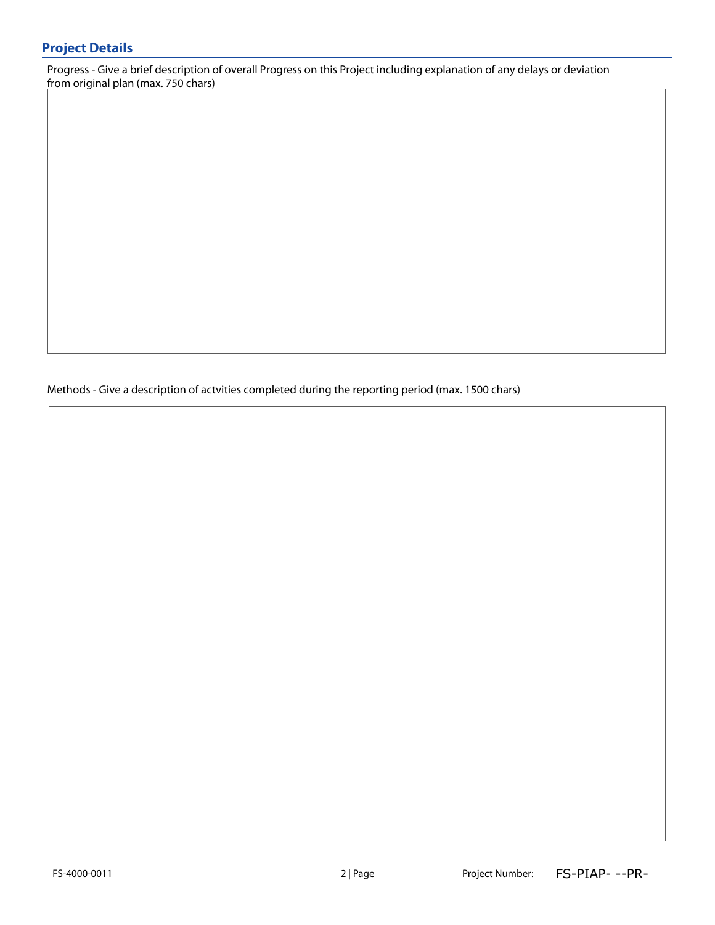Progress - Give a brief description of overall Progress on this Project including explanation of any delays or deviation from original plan (max. 750 chars)

Methods - Give a description of actvities completed during the reporting period (max. 1500 chars)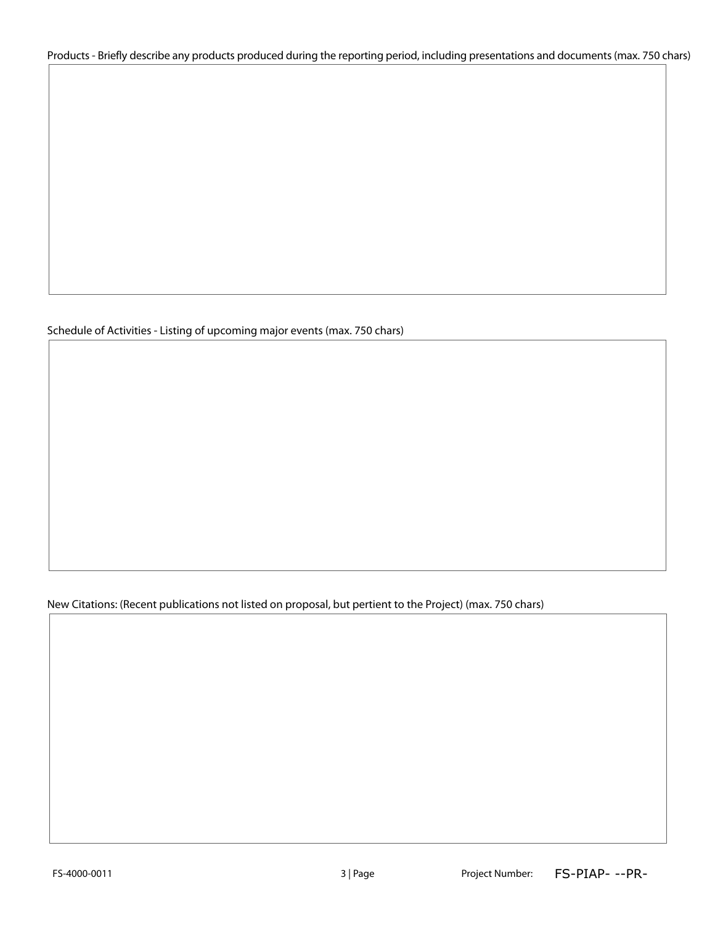Products - Briefly describe any products produced during the reporting period, including presentations and documents (max. 750 chars)

#### Schedule of Activities - Listing of upcoming major events (max. 750 chars)

New Citations: (Recent publications not listed on proposal, but pertient to the Project) (max. 750 chars)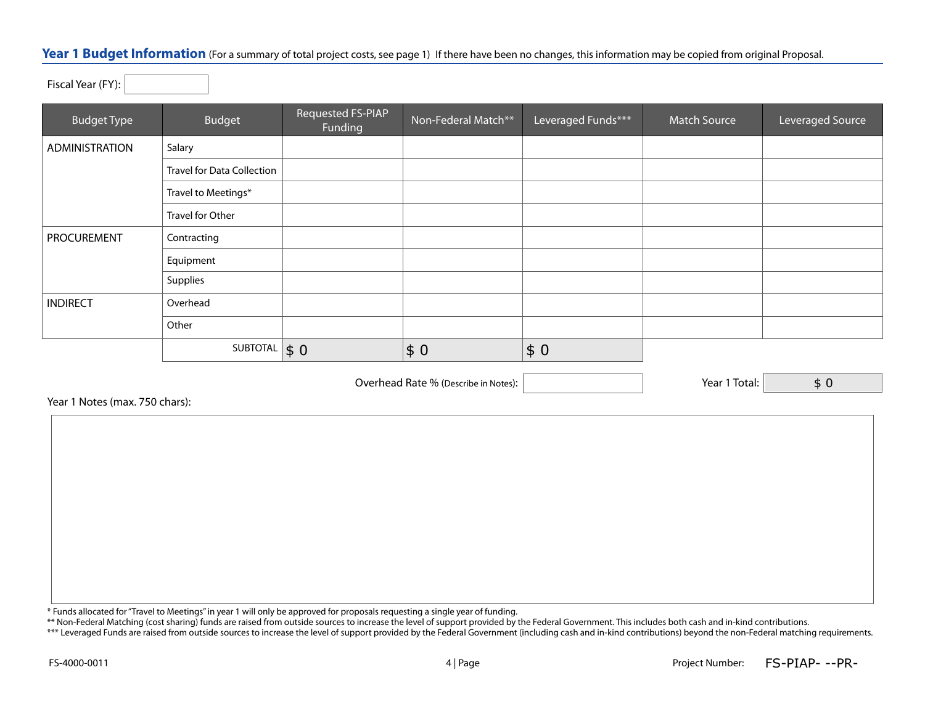#### Year 1 Budget Information (For a summary of total project costs, see page 1) If there have been no changes, this information may be copied from original Proposal.

Fiscal Year (FY):

| <b>Budget Type</b> | <b>Budget</b>                     | Requested FS-PIAP<br>Funding | Non-Federal Match** | Leveraged Funds*** | <b>Match Source</b> | Leveraged Source |
|--------------------|-----------------------------------|------------------------------|---------------------|--------------------|---------------------|------------------|
| ADMINISTRATION     | Salary                            |                              |                     |                    |                     |                  |
|                    | <b>Travel for Data Collection</b> |                              |                     |                    |                     |                  |
|                    | Travel to Meetings*               |                              |                     |                    |                     |                  |
|                    | Travel for Other                  |                              |                     |                    |                     |                  |
| PROCUREMENT        | Contracting                       |                              |                     |                    |                     |                  |
|                    | Equipment                         |                              |                     |                    |                     |                  |
|                    | Supplies                          |                              |                     |                    |                     |                  |
| <b>INDIRECT</b>    | Overhead                          |                              |                     |                    |                     |                  |
|                    | Other                             |                              |                     |                    |                     |                  |
|                    | SUBTOTAL $\vert \$ 0$             |                              | \$0                 | \$0                |                     |                  |

Overhead Rate % (Describe in Notes): Year 1 Total:

\$ 0

Year 1 Notes (max. 750 chars):

\* Funds allocated for "Travel to Meetings" in year 1 will only be approved for proposals requesting a single year of funding.

\*\* Non-Federal Matching (cost sharing) funds are raised from outside sources to increase the level of support provided by the Federal Government. This includes both cash and in-kind contributions.

\*\*\* Leveraged Funds are raised from outside sources to increase the level of support provided by the Federal Government (including cash and in-kind contributions) beyond the non-Federal matching requirements.